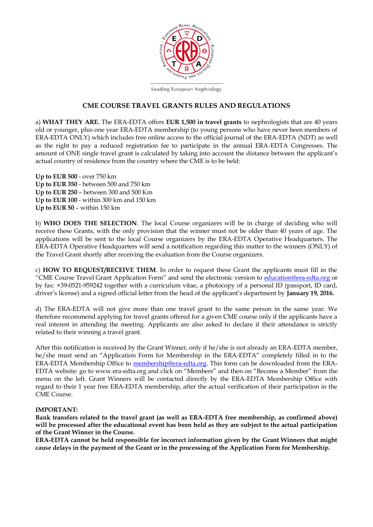

Leading European Nephrology

#### **CME COURSE TRAVEL GRANTS RULES AND REGULATIONS**

a) **WHAT THEY ARE.** The ERA-EDTA offers **EUR 1,500 in travel grants** to nephrologists that are 40 years old or younger, plus one year ERA-EDTA membership (to young persons who have never been members of ERA-EDTA ONLY) which includes free online access to the official journal of the ERA-EDTA (NDT) as well as the right to pay a reduced registration fee to participate in the annual ERA-EDTA Congresses. The amount of ONE single travel grant is calculated by taking into account the distance between the applicant's actual country of residence from the country where the CME is to be held:

**Up to EUR 500** - over 750 km **Up to EUR 350** - between 500 and 750 km **Up to EUR 250** – between 300 and 500 Km **Up to EUR 100** - within 300 km and 150 km **Up to EUR 50** – within 150 km

b) **WHO DOES THE SELECTION**. The local Course organizers will be in charge of deciding who will receive these Grants, with the only provision that the winner must not be older than 40 years of age. The applications will be sent to the local Course organizers by the ERA-EDTA Operative Headquarters. The ERA-EDTA Operative Headquarters will send a notification regarding this matter to the winners (ONLY) of the Travel Grant shortly after receiving the evaluation from the Course organizers.

c) **HOW TO REQUEST/RECEIVE THEM**. In order to request these Grant the applicants must fill in the "CME Course Travel Grant Application Form" and send the electronic version to [education@era-edta.org](mailto:education@era-edta.org) or by fax: +39-0521-959242 together with a curriculum vitae, a photocopy of a personal ID (passport, ID card, driver's license) and a signed official letter from the head of the applicant's department by **January 19, 2016.** 

d) The ERA-EDTA will not give more than one travel grant to the same person in the same year. We therefore recommend applying for travel grants offered for a given CME course only if the applicants have a real interest in attending the meeting. Applicants are also asked to declare if their attendance is strictly related to their winning a travel grant.

After this notification is received by the Grant Winner, only if he/she is not already an ERA-EDTA member, he/she must send an "Application Form for Membership in the ERA-EDTA" completely filled in to the ERA-EDTA Membership Office to [membership@era-edta.org.](mailto:membership@era-edta.org) This form can be downloaded from the ERA-EDTA website: go to www.era-edta.org and click on "Members" and then on "Become a Member" from the menu on the left. Grant Winners will be contacted directly by the ERA-EDTA Membership Office with regard to their 1 year free ERA-EDTA membership, after the actual verification of their participation in the CME Course.

#### **IMPORTANT:**

**Bank transfers related to the travel grant (as well as ERA-EDTA free membership, as confirmed above) will be processed after the educational event has been held as they are subject to the actual participation of the Grant Winner in the Course.** 

**ERA-EDTA cannot be held responsible for incorrect information given by the Grant Winners that might cause delays in the payment of the Grant or in the processing of the Application Form for Membership.**